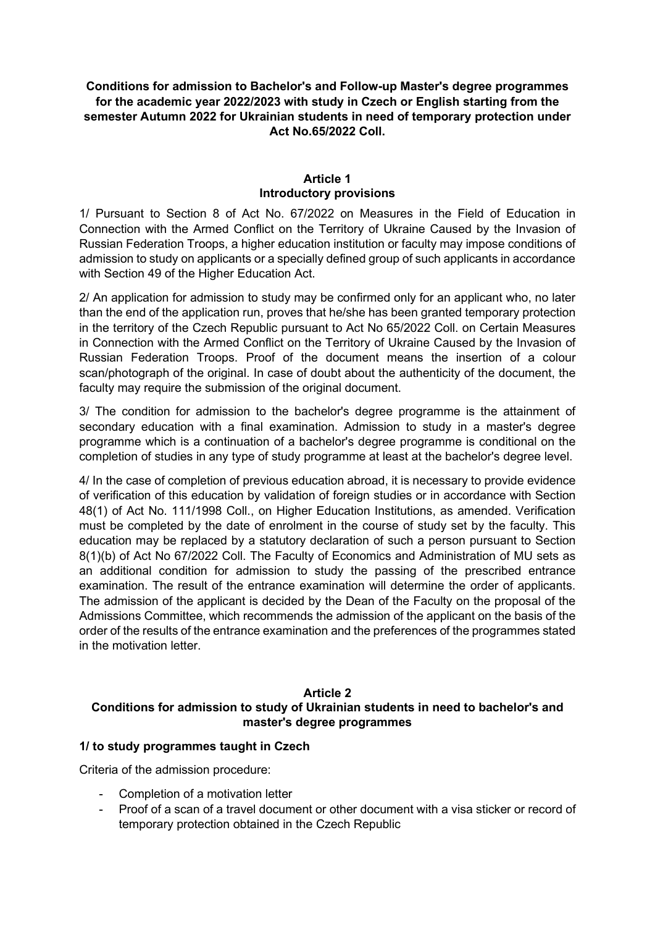# **Conditions for admission to Bachelor's and Follow-up Master's degree programmes for the academic year 2022/2023 with study in Czech or English starting from the semester Autumn 2022 for Ukrainian students in need of temporary protection under Act No.65/2022 Coll.**

## **Article 1 Introductory provisions**

1/ Pursuant to Section 8 of Act No. 67/2022 on Measures in the Field of Education in Connection with the Armed Conflict on the Territory of Ukraine Caused by the Invasion of Russian Federation Troops, a higher education institution or faculty may impose conditions of admission to study on applicants or a specially defined group of such applicants in accordance with Section 49 of the Higher Education Act.

2/ An application for admission to study may be confirmed only for an applicant who, no later than the end of the application run, proves that he/she has been granted temporary protection in the territory of the Czech Republic pursuant to Act No 65/2022 Coll. on Certain Measures in Connection with the Armed Conflict on the Territory of Ukraine Caused by the Invasion of Russian Federation Troops. Proof of the document means the insertion of a colour scan/photograph of the original. In case of doubt about the authenticity of the document, the faculty may require the submission of the original document.

3/ The condition for admission to the bachelor's degree programme is the attainment of secondary education with a final examination. Admission to study in a master's degree programme which is a continuation of a bachelor's degree programme is conditional on the completion of studies in any type of study programme at least at the bachelor's degree level.

4/ In the case of completion of previous education abroad, it is necessary to provide evidence of verification of this education by validation of foreign studies or in accordance with Section 48(1) of Act No. 111/1998 Coll., on Higher Education Institutions, as amended. Verification must be completed by the date of enrolment in the course of study set by the faculty. This education may be replaced by a statutory declaration of such a person pursuant to Section 8(1)(b) of Act No 67/2022 Coll. The Faculty of Economics and Administration of MU sets as an additional condition for admission to study the passing of the prescribed entrance examination. The result of the entrance examination will determine the order of applicants. The admission of the applicant is decided by the Dean of the Faculty on the proposal of the Admissions Committee, which recommends the admission of the applicant on the basis of the order of the results of the entrance examination and the preferences of the programmes stated in the motivation letter.

#### **Article 2 Conditions for admission to study of Ukrainian students in need to bachelor's and master's degree programmes**

## **1/ to study programmes taught in Czech**

Criteria of the admission procedure:

- Completion of a motivation letter
- Proof of a scan of a travel document or other document with a visa sticker or record of temporary protection obtained in the Czech Republic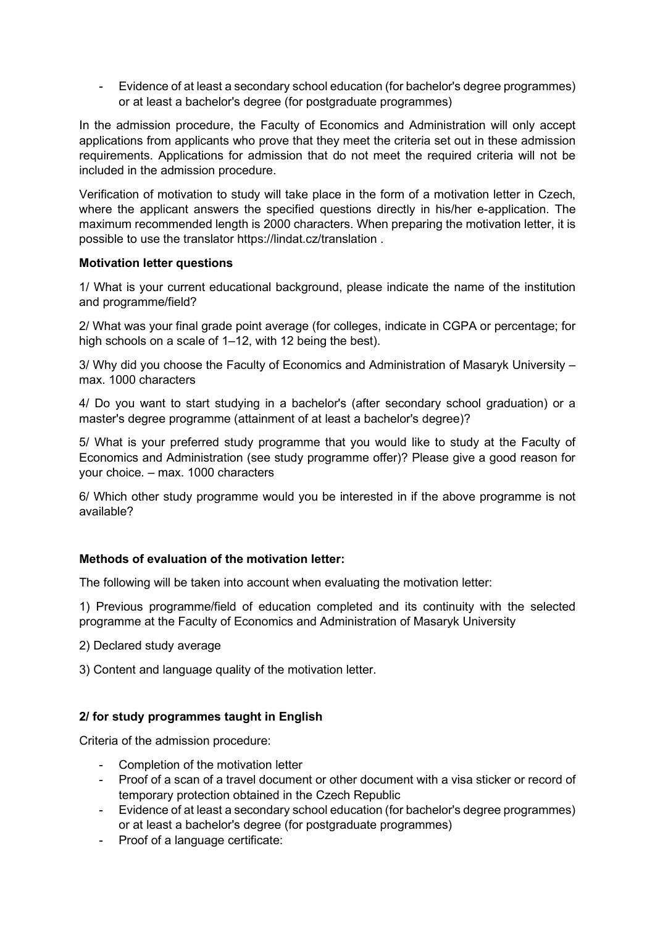- Evidence of at least a secondary school education (for bachelor's degree programmes) or at least a bachelor's degree (for postgraduate programmes)

In the admission procedure, the Faculty of Economics and Administration will only accept applications from applicants who prove that they meet the criteria set out in these admission requirements. Applications for admission that do not meet the required criteria will not be included in the admission procedure.

Verification of motivation to study will take place in the form of a motivation letter in Czech, where the applicant answers the specified questions directly in his/her e-application. The maximum recommended length is 2000 characters. When preparing the motivation letter, it is possible to use the translator https://lindat.cz/translation .

## **Motivation letter questions**

1/ What is your current educational background, please indicate the name of the institution and programme/field?

2/ What was your final grade point average (for colleges, indicate in CGPA or percentage; for high schools on a scale of 1–12, with 12 being the best).

3/ Why did you choose the Faculty of Economics and Administration of Masaryk University – max. 1000 characters

4/ Do you want to start studying in a bachelor's (after secondary school graduation) or a master's degree programme (attainment of at least a bachelor's degree)?

5/ What is your preferred study programme that you would like to study at the Faculty of Economics and Administration (see study programme offer)? Please give a good reason for your choice. – max. 1000 characters

6/ Which other study programme would you be interested in if the above programme is not available?

## **Methods of evaluation of the motivation letter:**

The following will be taken into account when evaluating the motivation letter:

1) Previous programme/field of education completed and its continuity with the selected programme at the Faculty of Economics and Administration of Masaryk University

- 2) Declared study average
- 3) Content and language quality of the motivation letter.

# **2/ for study programmes taught in English**

Criteria of the admission procedure:

- Completion of the motivation letter
- Proof of a scan of a travel document or other document with a visa sticker or record of temporary protection obtained in the Czech Republic
- Evidence of at least a secondary school education (for bachelor's degree programmes) or at least a bachelor's degree (for postgraduate programmes)
- Proof of a language certificate: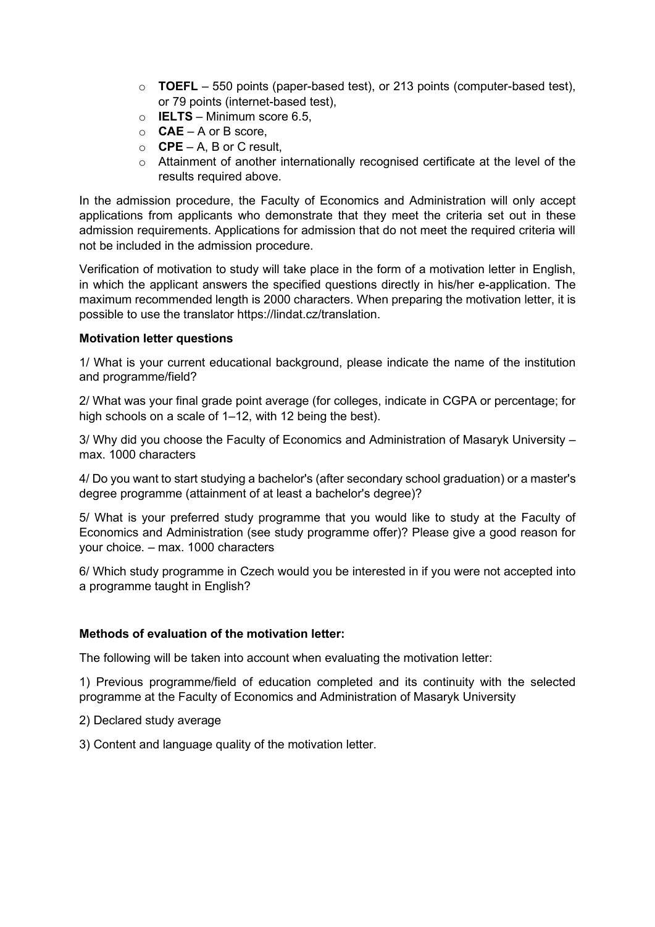- $\circ$  **TOEFL** 550 points (paper-based test), or 213 points (computer-based test), or 79 points (internet-based test),
- o **IELTS** Minimum score 6.5,
- o **CAE** A or B score,
- o **CPE** A, B or C result,
- o Attainment of another internationally recognised certificate at the level of the results required above.

In the admission procedure, the Faculty of Economics and Administration will only accept applications from applicants who demonstrate that they meet the criteria set out in these admission requirements. Applications for admission that do not meet the required criteria will not be included in the admission procedure.

Verification of motivation to study will take place in the form of a motivation letter in English, in which the applicant answers the specified questions directly in his/her e-application. The maximum recommended length is 2000 characters. When preparing the motivation letter, it is possible to use the translator https://lindat.cz/translation.

## **Motivation letter questions**

1/ What is your current educational background, please indicate the name of the institution and programme/field?

2/ What was your final grade point average (for colleges, indicate in CGPA or percentage; for high schools on a scale of 1–12, with 12 being the best).

3/ Why did you choose the Faculty of Economics and Administration of Masaryk University – max. 1000 characters

4/ Do you want to start studying a bachelor's (after secondary school graduation) or a master's degree programme (attainment of at least a bachelor's degree)?

5/ What is your preferred study programme that you would like to study at the Faculty of Economics and Administration (see study programme offer)? Please give a good reason for your choice. – max. 1000 characters

6/ Which study programme in Czech would you be interested in if you were not accepted into a programme taught in English?

## **Methods of evaluation of the motivation letter:**

The following will be taken into account when evaluating the motivation letter:

1) Previous programme/field of education completed and its continuity with the selected programme at the Faculty of Economics and Administration of Masaryk University

- 2) Declared study average
- 3) Content and language quality of the motivation letter.